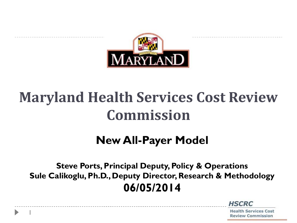

# **Maryland Health Services Cost Review Commission**

### **New All-Payer Model**

**Steve Ports, Principal Deputy, Policy & Operations Sule Calikoglu, Ph.D., Deputy Director, Research & Methodology 06/05/2014**

1

**HSCRC**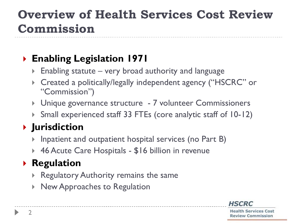### **Overview of Health Services Cost Review Commission**

#### ` **Enabling Legislation 1971**

- $\triangleright$  Enabling statute very broad authority and language
- ` Created a politically/legally independent agency ("HSCRC" or "Commission")
- **I** Unique governance structure 7 volunteer Commissioners
- ` Small experienced staff 33 FTEs (core analytic staff of 10-12)

### ` **Jurisdiction**

- Inpatient and outpatient hospital services (no Part B)
- ▶ 46 Acute Care Hospitals \$16 billion in revenue

### **Regulation**

- Regulatory Authority remains the same
- **New Approaches to Regulation**

**HSCRC**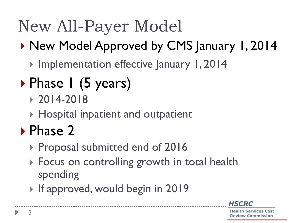# New All-Payer Model

## ▶ New Model Approved by CMS January 1, 2014

- **Implementation effective January 1, 2014**
- Phase 1 (5 years)
	- $\rightarrow 2014 2018$
	- **> Hospital inpatient and outpatient**

# ▶ Phase 2

- ▶ Proposal submitted end of 2016
- **Focus on controlling growth in total health** spending
- **If approved, would begin in 2019**

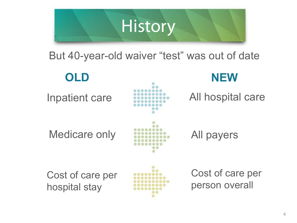

But 40-year-old waiver "test" was out of date

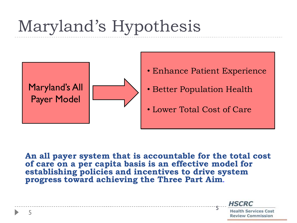# Maryland's Hypothesis



- Enhance Patient Experience
- Better Population Health
- Lower Total Cost of Care

**An all payer system that is accountable for the total cost of care on a per capita basis is an effective model for establishing policies and incentives to drive system progress toward achieving the Three Part Aim**.

> **Health Services Cost Review Commission**

**HSCRC** 

5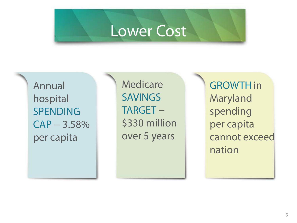## Lower Cost

Annual hospital SPENDING  $CAP - 3.58%$ per capita

**Medicare SAVINGS** TARGET − \$330 million over 5 years

GROWTH in Maryland spending per capita cannot exceed nation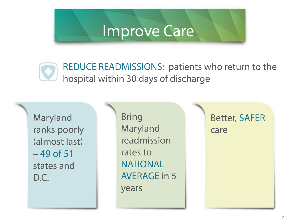## Improve Care

REDUCE READMISSIONS: patients who return to the hospital within 30 days of discharge

Maryland ranks poorly (almost last) – 49 of 51 states and D.C.

Bring Maryland readmission rates to **NATIONAL** AVERAGE in 5 years

7 7

Better, SAFER care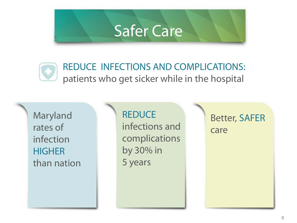## Safer Care



#### REDUCE INFECTIONS AND COMPLICATIONS: patients who get sicker while in the hospital

Maryland rates of infection **HIGHER** than nation

**REDUCE** infections and complications by 30% in 5 years

8 8

Better, SAFER care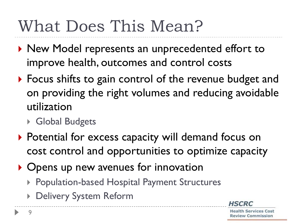# What Does This Mean?

- $\triangleright$  New Model represents an unprecedented effort to improve health, outcomes and control costs
- $\triangleright$  Focus shifts to gain control of the revenue budget and on providing the right volumes and reducing avoidable utilization
	- ▶ Global Budgets
- ▶ Potential for excess capacity will demand focus on cost control and opportunities to optimize capacity
- $\triangleright$  Opens up new avenues for innovation
	- ▶ Population-based Hospital Payment Structures
	- Delivery System Reform

**HSCRC**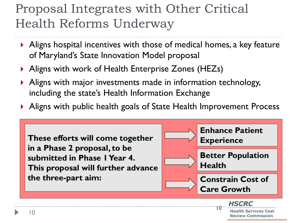### Proposal Integrates with Other Critical Health Reforms Underway

- $\blacktriangleright$  Aligns hospital incentives with those of medical homes, a key feature of Maryland's State Innovation Model proposal
- **Aligns with work of Health Enterprise Zones (HEZs)**
- $\blacktriangleright$  Aligns with major investments made in information technology, including the state's Health Information Exchange
- Aligns with public health goals of State Health Improvement Process

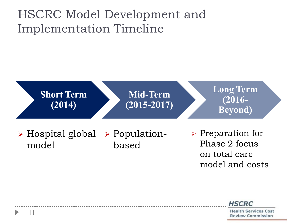### HSCRC Model Development and Implementation Timeline

11



**HSCRC**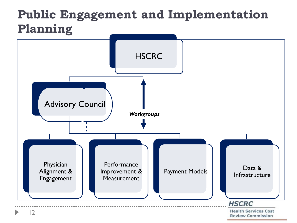### **Public Engagement and Implementation Planning**

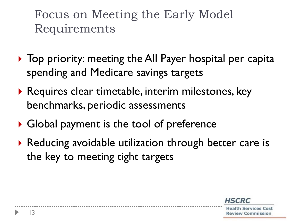Focus on Meeting the Early Model Requirements

- $\triangleright$  Top priority: meeting the All Payer hospital per capita spending and Medicare savings targets
- ▶ Requires clear timetable, interim milestones, key benchmarks, periodic assessments
- $\triangleright$  Global payment is the tool of preference
- ▶ Reducing avoidable utilization through better care is the key to meeting tight targets

**HSCRC**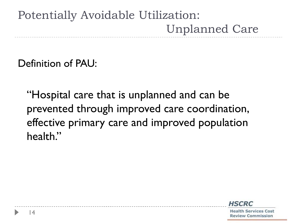### Potentially Avoidable Utilization: Unplanned Care

Definition of PAU:

"Hospital care that is unplanned and can be prevented through improved care coordination, effective primary care and improved population health."

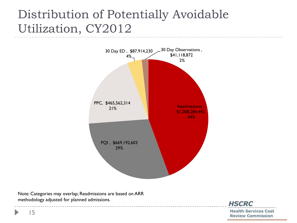### Distribution of Potentially Avoidable Utilization, CY2012



Note: Categories may overlap; Readmissions are based on ARR methodology adjusted for planned admissions.



**Health Services Cost Review Commission** 

15